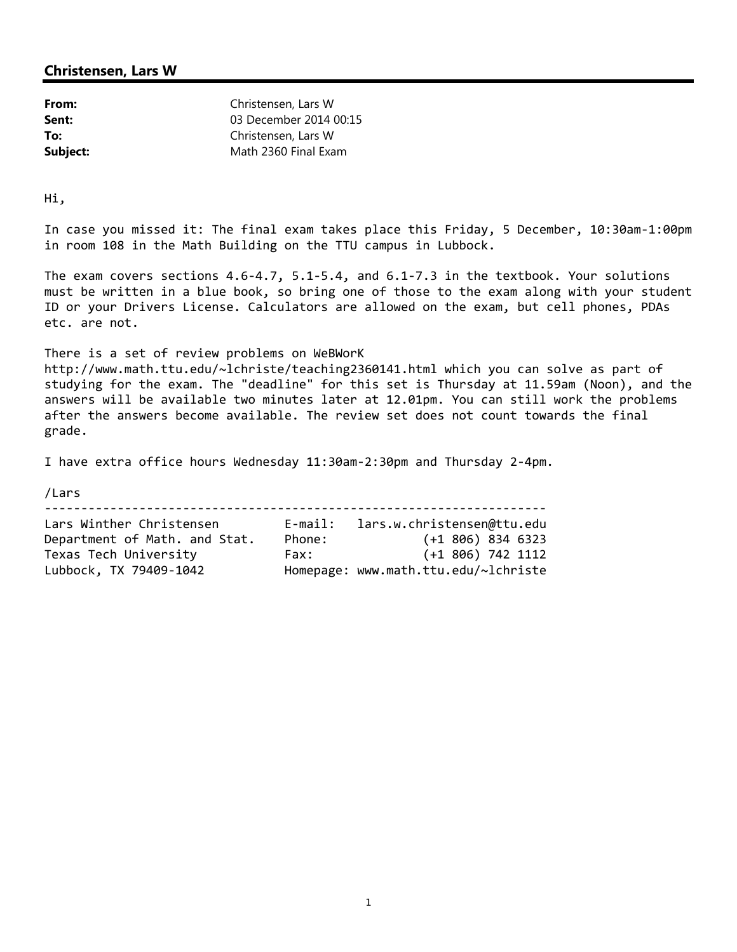| From:    | Christensen, Lars W    |
|----------|------------------------|
| Sent:    | 03 December 2014 00:15 |
| To:      | Christensen, Lars W    |
| Subject: | Math 2360 Final Exam   |

Hi,

In case you missed it: The final exam takes place this Friday, 5 December, 10:30am‐1:00pm in room 108 in the Math Building on the TTU campus in Lubbock.

The exam covers sections 4.6‐4.7, 5.1‐5.4, and 6.1‐7.3 in the textbook. Your solutions must be written in a blue book, so bring one of those to the exam along with your student ID or your Drivers License. Calculators are allowed on the exam, but cell phones, PDAs etc. are not.

There is a set of review problems on WeBWorK http://www.math.ttu.edu/~lchriste/teaching2360141.html which you can solve as part of studying for the exam. The "deadline" for this set is Thursday at 11.59am (Noon), and the answers will be available two minutes later at 12.01pm. You can still work the problems after the answers become available. The review set does not count towards the final grade.

I have extra office hours Wednesday 11:30am‐2:30pm and Thursday 2‐4pm.

/Lars

‐‐‐‐‐‐‐‐‐‐‐‐‐‐‐‐‐‐‐‐‐‐‐‐‐‐‐‐‐‐‐‐‐‐‐‐‐‐‐‐‐‐‐‐‐‐‐‐‐‐‐‐‐‐‐‐‐‐‐‐‐‐‐‐‐‐‐‐‐

| Lars Winther Christensen      | $E$ -mail: | lars.w.christensen@ttu.edu           |
|-------------------------------|------------|--------------------------------------|
| Department of Math. and Stat. | Phone:     | $(+1\,806)\,834\,6323$               |
| Texas Tech University         | Fax:       | $(+1\,806)\,742\,1112$               |
| Lubbock, TX 79409-1042        |            | Homepage: www.math.ttu.edu/~lchriste |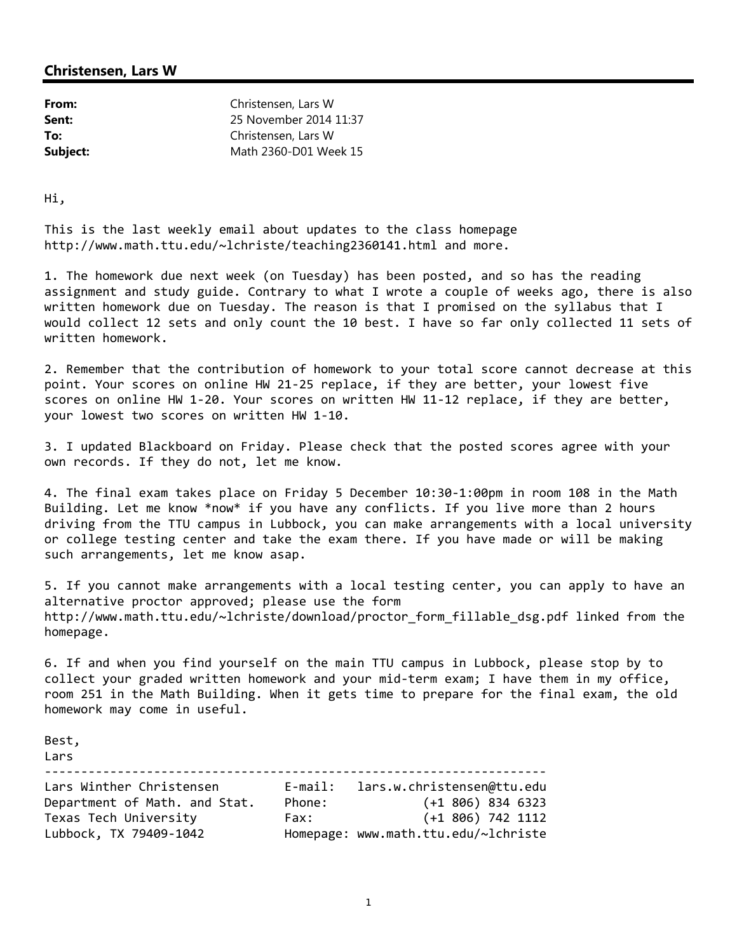| From:    | Christensen, Lars W    |
|----------|------------------------|
| Sent:    | 25 November 2014 11:37 |
| To:      | Christensen, Lars W    |
| Subject: | Math 2360-D01 Week 15  |

Hi,

This is the last weekly email about updates to the class homepage http://www.math.ttu.edu/~lchriste/teaching2360141.html and more.

1. The homework due next week (on Tuesday) has been posted, and so has the reading assignment and study guide. Contrary to what I wrote a couple of weeks ago, there is also written homework due on Tuesday. The reason is that I promised on the syllabus that I would collect 12 sets and only count the 10 best. I have so far only collected 11 sets of written homework.

2. Remember that the contribution of homework to your total score cannot decrease at this point. Your scores on online HW 21‐25 replace, if they are better, your lowest five scores on online HW 1‐20. Your scores on written HW 11‐12 replace, if they are better, your lowest two scores on written HW 1‐10.

3. I updated Blackboard on Friday. Please check that the posted scores agree with your own records. If they do not, let me know.

4. The final exam takes place on Friday 5 December 10:30‐1:00pm in room 108 in the Math Building. Let me know \*now\* if you have any conflicts. If you live more than 2 hours driving from the TTU campus in Lubbock, you can make arrangements with a local university or college testing center and take the exam there. If you have made or will be making such arrangements, let me know asap.

5. If you cannot make arrangements with a local testing center, you can apply to have an alternative proctor approved; please use the form http://www.math.ttu.edu/~lchriste/download/proctor\_form\_fillable\_dsg.pdf linked from the homepage.

6. If and when you find yourself on the main TTU campus in Lubbock, please stop by to collect your graded written homework and your mid‐term exam; I have them in my office, room 251 in the Math Building. When it gets time to prepare for the final exam, the old homework may come in useful.

Best,

| Lars                          |            |                                      |
|-------------------------------|------------|--------------------------------------|
| Lars Winther Christensen      | $E$ -mail: | lars.w.christensen@ttu.edu           |
| Department of Math. and Stat. | Phone:     | $(+1\ 806)\ 834\ 6323$               |
| Texas Tech University         | Fax:       | $(+1\,806)\,742\,1112$               |
| Lubbock, TX 79409-1042        |            | Homepage: www.math.ttu.edu/~lchriste |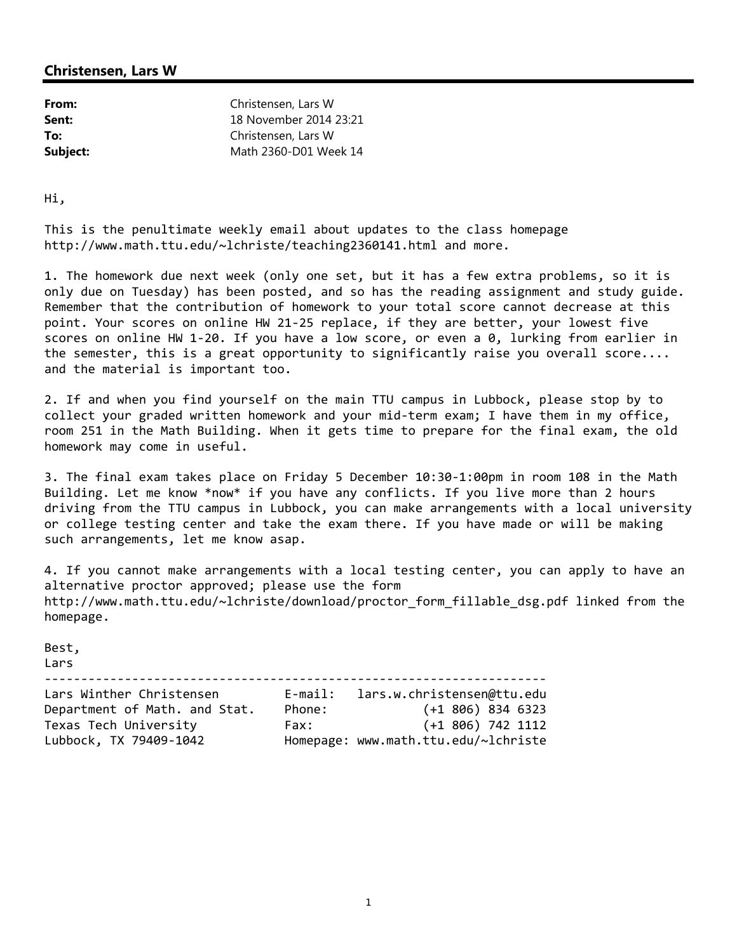| From:    | Christensen, Lars W    |
|----------|------------------------|
| Sent:    | 18 November 2014 23:21 |
| To:      | Christensen, Lars W    |
| Subject: | Math 2360-D01 Week 14  |

Hi,

This is the penultimate weekly email about updates to the class homepage http://www.math.ttu.edu/~lchriste/teaching2360141.html and more.

1. The homework due next week (only one set, but it has a few extra problems, so it is only due on Tuesday) has been posted, and so has the reading assignment and study guide. Remember that the contribution of homework to your total score cannot decrease at this point. Your scores on online HW 21‐25 replace, if they are better, your lowest five scores on online HW 1‐20. If you have a low score, or even a 0, lurking from earlier in the semester, this is a great opportunity to significantly raise you overall score.... and the material is important too.

2. If and when you find yourself on the main TTU campus in Lubbock, please stop by to collect your graded written homework and your mid‐term exam; I have them in my office, room 251 in the Math Building. When it gets time to prepare for the final exam, the old homework may come in useful.

3. The final exam takes place on Friday 5 December 10:30‐1:00pm in room 108 in the Math Building. Let me know \*now\* if you have any conflicts. If you live more than 2 hours driving from the TTU campus in Lubbock, you can make arrangements with a local university or college testing center and take the exam there. If you have made or will be making such arrangements, let me know asap.

4. If you cannot make arrangements with a local testing center, you can apply to have an alternative proctor approved; please use the form http://www.math.ttu.edu/~lchriste/download/proctor\_form\_fillable\_dsg.pdf linked from the homepage.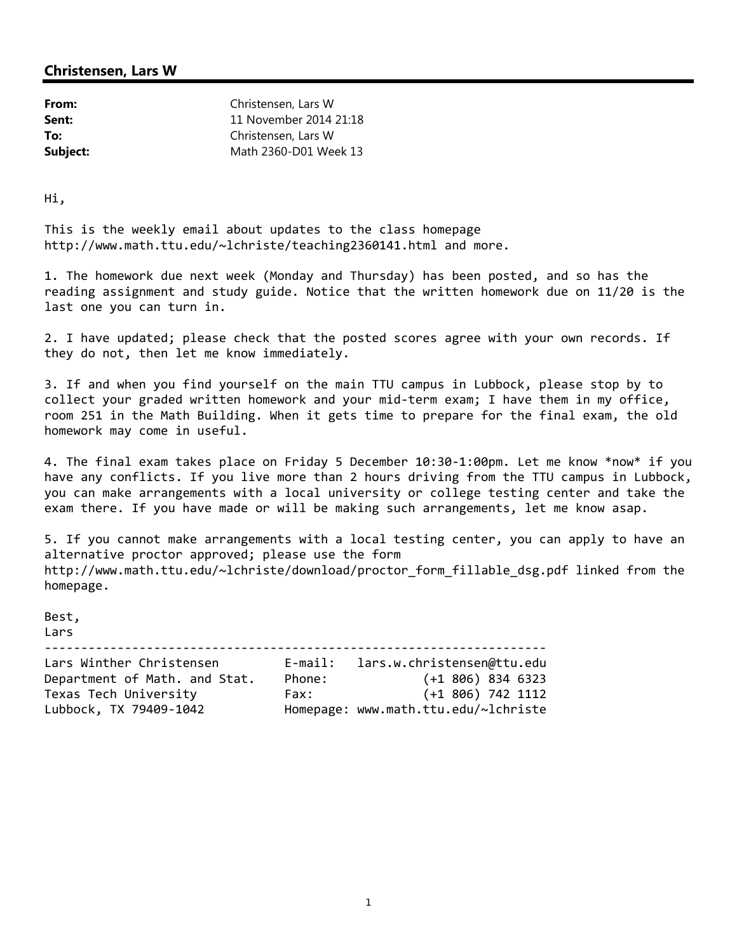| From:    | Christensen, Lars W    |
|----------|------------------------|
| Sent:    | 11 November 2014 21:18 |
| To:      | Christensen, Lars W    |
| Subject: | Math 2360-D01 Week 13  |

Hi,

This is the weekly email about updates to the class homepage http://www.math.ttu.edu/~lchriste/teaching2360141.html and more.

1. The homework due next week (Monday and Thursday) has been posted, and so has the reading assignment and study guide. Notice that the written homework due on 11/20 is the last one you can turn in.

2. I have updated; please check that the posted scores agree with your own records. If they do not, then let me know immediately.

3. If and when you find yourself on the main TTU campus in Lubbock, please stop by to collect your graded written homework and your mid‐term exam; I have them in my office, room 251 in the Math Building. When it gets time to prepare for the final exam, the old homework may come in useful.

4. The final exam takes place on Friday 5 December 10:30-1:00pm. Let me know \*now\* if you have any conflicts. If you live more than 2 hours driving from the TTU campus in Lubbock, you can make arrangements with a local university or college testing center and take the exam there. If you have made or will be making such arrangements, let me know asap.

5. If you cannot make arrangements with a local testing center, you can apply to have an alternative proctor approved; please use the form http://www.math.ttu.edu/~lchriste/download/proctor form fillable dsg.pdf linked from the homepage.

Best, Lars ‐‐‐‐‐‐‐‐‐‐‐‐‐‐‐‐‐‐‐‐‐‐‐‐‐‐‐‐‐‐‐‐‐‐‐‐‐‐‐‐‐‐‐‐‐‐‐‐‐‐‐‐‐‐‐‐‐‐‐‐‐‐‐‐‐‐‐‐‐

| Lars Winther Christensen      | $E$ -mail: | lars.w.christensen@ttu.edu           |
|-------------------------------|------------|--------------------------------------|
| Department of Math. and Stat. | Phone:     | $(+1\,806)\,834\,6323$               |
| Texas Tech University         | Fax:       | $(+1\ 806)\ 742\ 1112$               |
| Lubbock, TX 79409-1042        |            | Homepage: www.math.ttu.edu/~lchriste |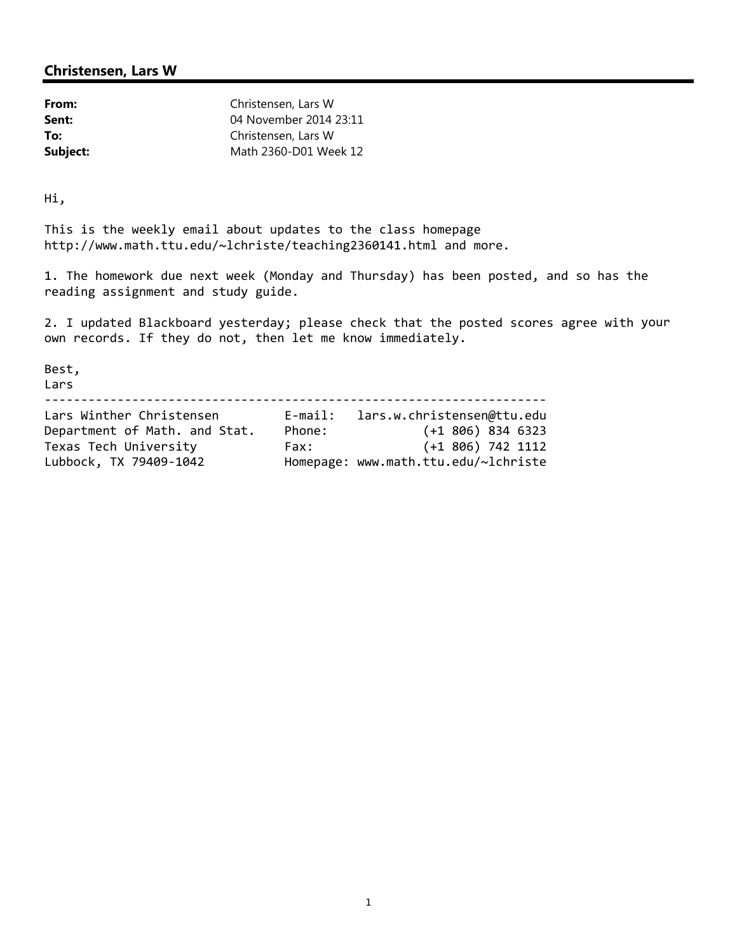| From:    | Christensen, Lars W    |
|----------|------------------------|
| Sent:    | 04 November 2014 23:11 |
| To:      | Christensen, Lars W    |
| Subject: | Math 2360-D01 Week 12  |

Hi,

This is the weekly email about updates to the class homepage http://www.math.ttu.edu/~lchriste/teaching2360141.html and more.

1. The homework due next week (Monday and Thursday) has been posted, and so has the reading assignment and study guide.

2. I updated Blackboard yesterday; please check that the posted scores agree with your own records. If they do not, then let me know immediately.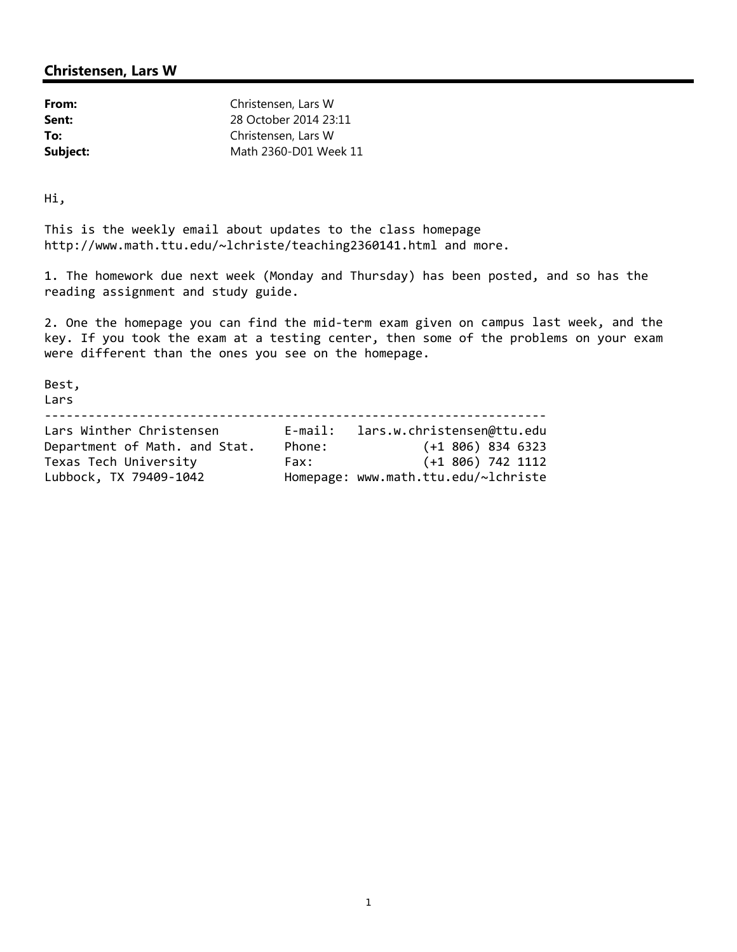| From:    | Christensen, Lars W   |
|----------|-----------------------|
| Sent:    | 28 October 2014 23:11 |
| To:      | Christensen, Lars W   |
| Subject: | Math 2360-D01 Week 11 |

Hi,

This is the weekly email about updates to the class homepage http://www.math.ttu.edu/~lchriste/teaching2360141.html and more.

1. The homework due next week (Monday and Thursday) has been posted, and so has the reading assignment and study guide.

2. One the homepage you can find the mid‐term exam given on campus last week, and the key. If you took the exam at a testing center, then some of the problems on your exam were different than the ones you see on the homepage.

Best, Lars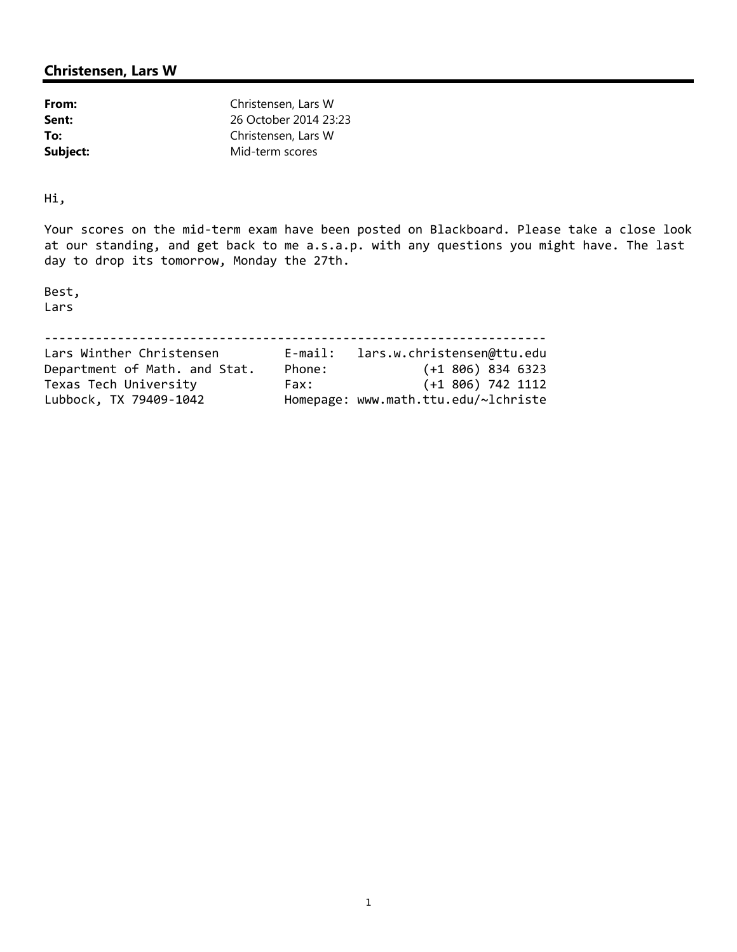| From:    | Christensen, Lars W   |
|----------|-----------------------|
| Sent:    | 26 October 2014 23:23 |
| To:      | Christensen, Lars W   |
| Subject: | Mid-term scores       |

Hi,

Your scores on the mid-term exam have been posted on Blackboard. Please take a close look at our standing, and get back to me a.s.a.p. with any questions you might have. The last day to drop its tomorrow, Monday the 27th.

Best, Lars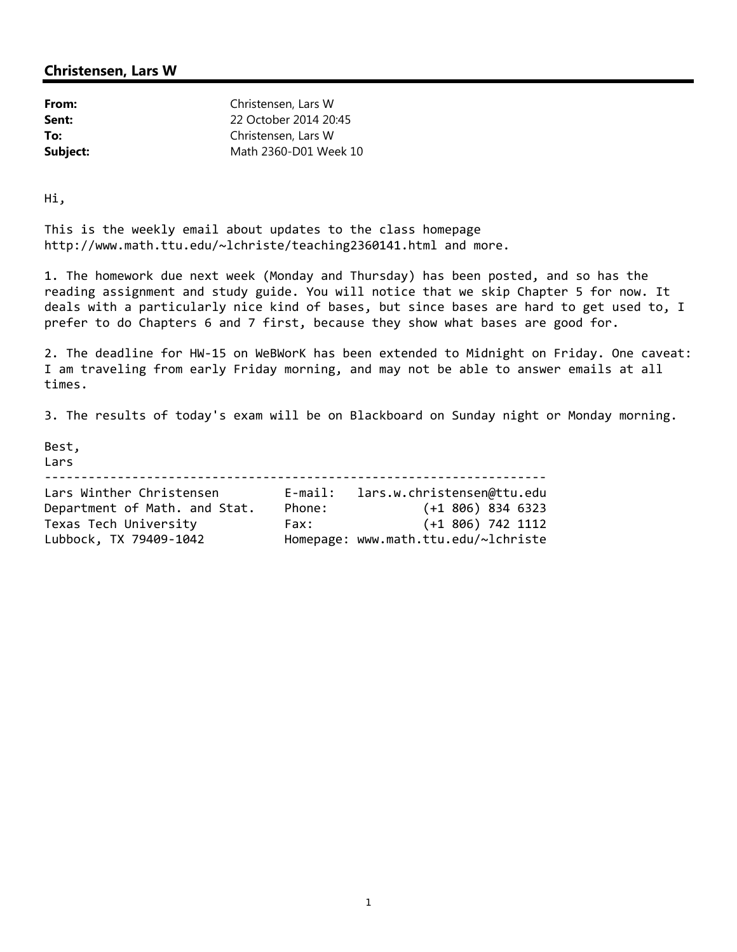| From:    | Christensen, Lars W   |
|----------|-----------------------|
| Sent:    | 22 October 2014 20:45 |
| To:      | Christensen, Lars W   |
| Subject: | Math 2360-D01 Week 10 |

Hi,

This is the weekly email about updates to the class homepage http://www.math.ttu.edu/~lchriste/teaching2360141.html and more.

1. The homework due next week (Monday and Thursday) has been posted, and so has the reading assignment and study guide. You will notice that we skip Chapter 5 for now. It deals with a particularly nice kind of bases, but since bases are hard to get used to, I prefer to do Chapters 6 and 7 first, because they show what bases are good for.

2. The deadline for HW‐15 on WeBWorK has been extended to Midnight on Friday. One caveat: I am traveling from early Friday morning, and may not be able to answer emails at all times.

3. The results of today's exam will be on Blackboard on Sunday night or Monday morning.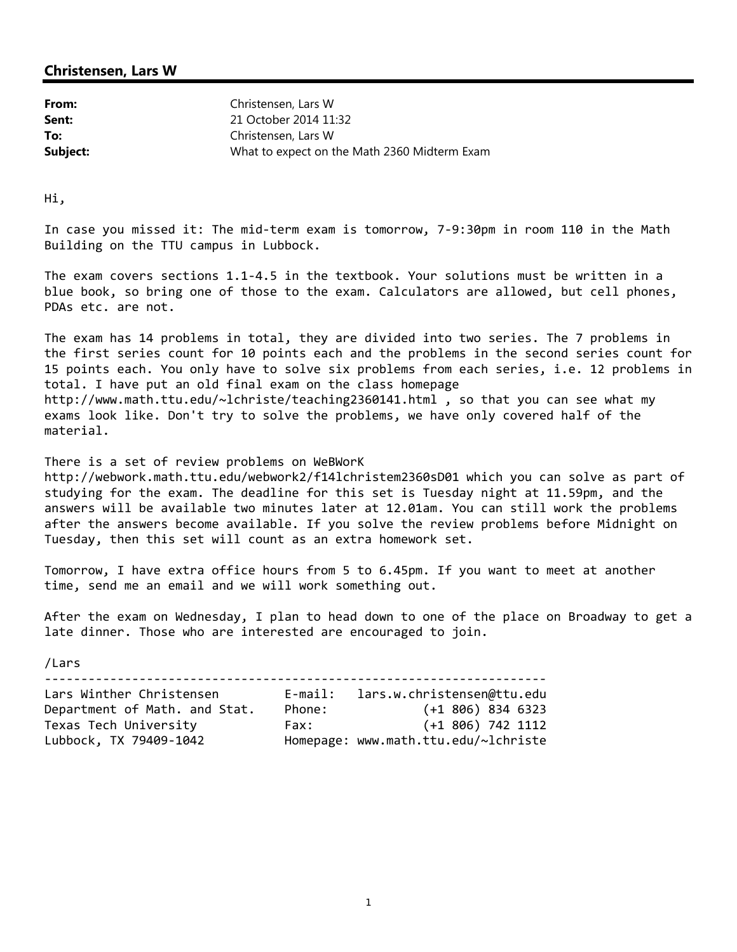| From:    | Christensen, Lars W                          |
|----------|----------------------------------------------|
| Sent:    | 21 October 2014 11:32                        |
| To:      | Christensen, Lars W                          |
| Subject: | What to expect on the Math 2360 Midterm Exam |

Hi,

In case you missed it: The mid‐term exam is tomorrow, 7‐9:30pm in room 110 in the Math Building on the TTU campus in Lubbock.

The exam covers sections 1.1‐4.5 in the textbook. Your solutions must be written in a blue book, so bring one of those to the exam. Calculators are allowed, but cell phones, PDAs etc. are not.

The exam has 14 problems in total, they are divided into two series. The 7 problems in the first series count for 10 points each and the problems in the second series count for 15 points each. You only have to solve six problems from each series, i.e. 12 problems in total. I have put an old final exam on the class homepage http://www.math.ttu.edu/~lchriste/teaching2360141.html , so that you can see what my exams look like. Don't try to solve the problems, we have only covered half of the material.

There is a set of review problems on WeBWorK http://webwork.math.ttu.edu/webwork2/f14lchristem2360sD01 which you can solve as part of studying for the exam. The deadline for this set is Tuesday night at 11.59pm, and the answers will be available two minutes later at 12.01am. You can still work the problems after the answers become available. If you solve the review problems before Midnight on Tuesday, then this set will count as an extra homework set.

Tomorrow, I have extra office hours from 5 to 6.45pm. If you want to meet at another time, send me an email and we will work something out.

After the exam on Wednesday, I plan to head down to one of the place on Broadway to get a late dinner. Those who are interested are encouraged to join.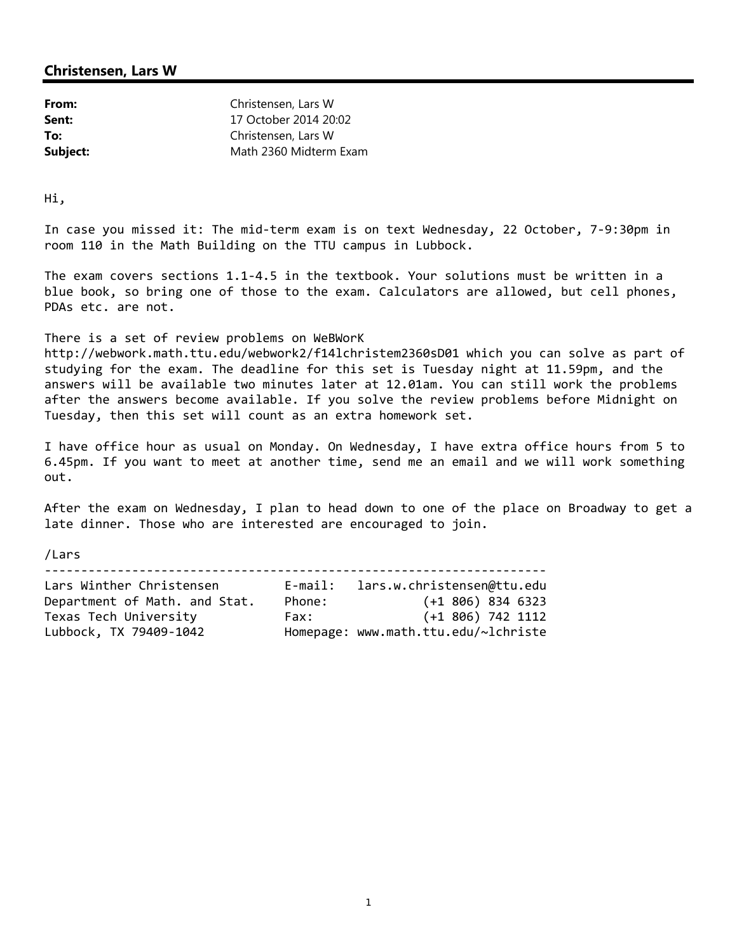| From:    | Christensen, Lars W    |
|----------|------------------------|
| Sent:    | 17 October 2014 20:02  |
| To:      | Christensen, Lars W    |
| Subject: | Math 2360 Midterm Exam |

Hi,

In case you missed it: The mid‐term exam is on text Wednesday, 22 October, 7‐9:30pm in room 110 in the Math Building on the TTU campus in Lubbock.

The exam covers sections 1.1‐4.5 in the textbook. Your solutions must be written in a blue book, so bring one of those to the exam. Calculators are allowed, but cell phones, PDAs etc. are not.

There is a set of review problems on WeBWorK

http://webwork.math.ttu.edu/webwork2/f14lchristem2360sD01 which you can solve as part of studying for the exam. The deadline for this set is Tuesday night at 11.59pm, and the answers will be available two minutes later at 12.01am. You can still work the problems after the answers become available. If you solve the review problems before Midnight on Tuesday, then this set will count as an extra homework set.

I have office hour as usual on Monday. On Wednesday, I have extra office hours from 5 to 6.45pm. If you want to meet at another time, send me an email and we will work something out.

After the exam on Wednesday, I plan to head down to one of the place on Broadway to get a late dinner. Those who are interested are encouraged to join.

/Lars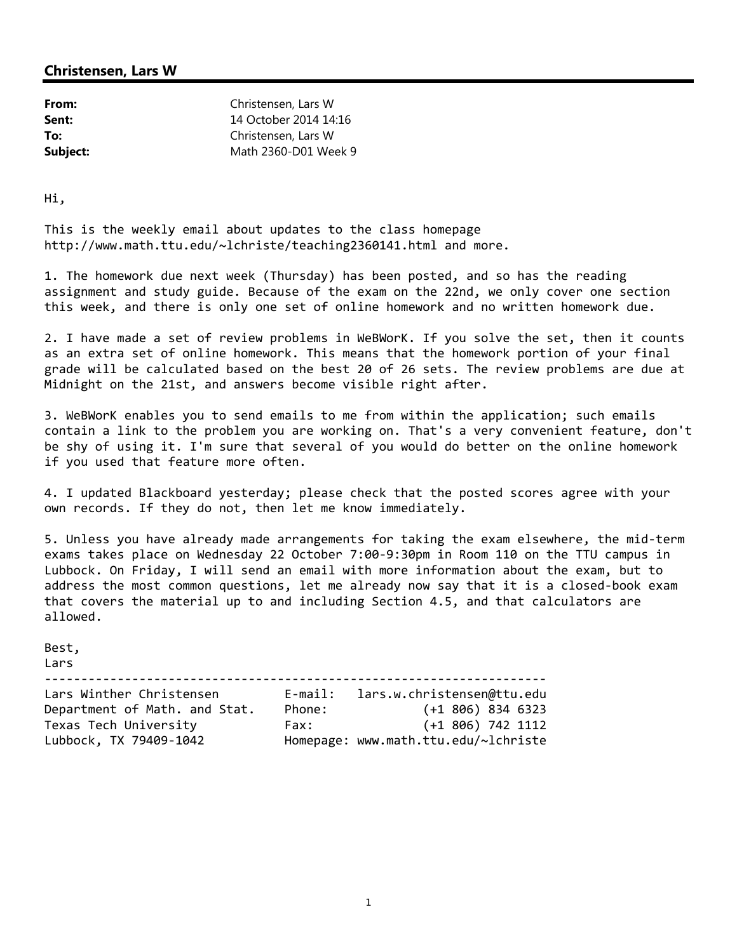| From:    | Christensen, Lars W   |
|----------|-----------------------|
| Sent:    | 14 October 2014 14:16 |
| To:      | Christensen, Lars W   |
| Subject: | Math 2360-D01 Week 9  |

Hi,

This is the weekly email about updates to the class homepage http://www.math.ttu.edu/~lchriste/teaching2360141.html and more.

1. The homework due next week (Thursday) has been posted, and so has the reading assignment and study guide. Because of the exam on the 22nd, we only cover one section this week, and there is only one set of online homework and no written homework due.

2. I have made a set of review problems in WeBWorK. If you solve the set, then it counts as an extra set of online homework. This means that the homework portion of your final grade will be calculated based on the best 20 of 26 sets. The review problems are due at Midnight on the 21st, and answers become visible right after.

3. WeBWorK enables you to send emails to me from within the application; such emails contain a link to the problem you are working on. That's a very convenient feature, don't be shy of using it. I'm sure that several of you would do better on the online homework if you used that feature more often.

4. I updated Blackboard yesterday; please check that the posted scores agree with your own records. If they do not, then let me know immediately.

5. Unless you have already made arrangements for taking the exam elsewhere, the mid-term exams takes place on Wednesday 22 October 7:00‐9:30pm in Room 110 on the TTU campus in Lubbock. On Friday, I will send an email with more information about the exam, but to address the most common questions, let me already now say that it is a closed‐book exam that covers the material up to and including Section 4.5, and that calculators are allowed.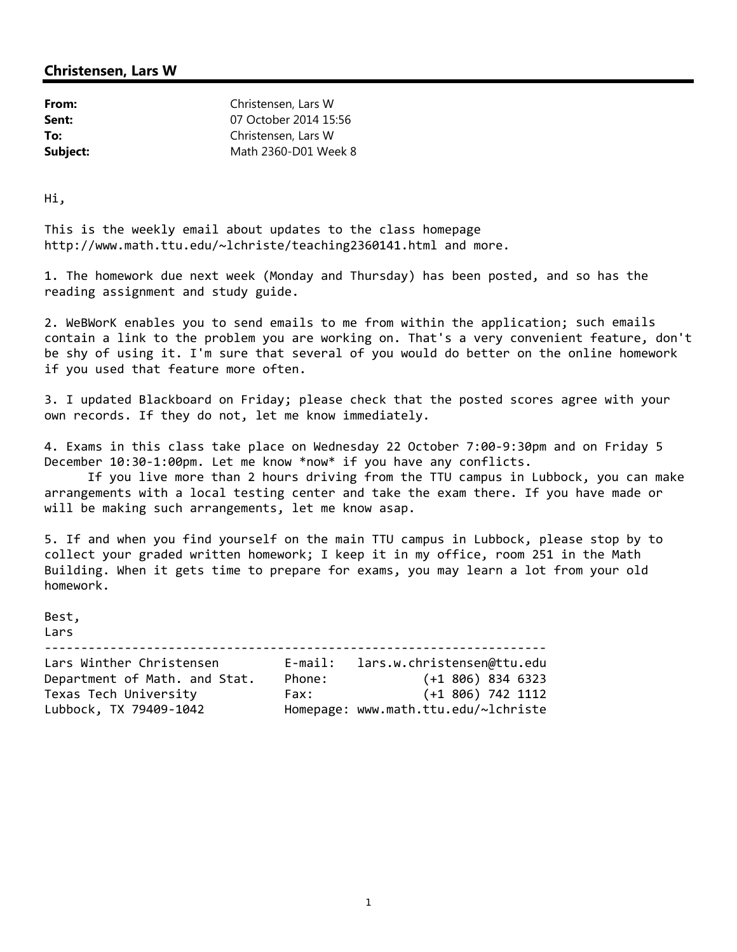| From:    | Christensen, Lars W   |
|----------|-----------------------|
| Sent:    | 07 October 2014 15:56 |
| To:      | Christensen, Lars W   |
| Subject: | Math 2360-D01 Week 8  |

Hi,

This is the weekly email about updates to the class homepage http://www.math.ttu.edu/~lchriste/teaching2360141.html and more.

1. The homework due next week (Monday and Thursday) has been posted, and so has the reading assignment and study guide.

2. WeBWorK enables you to send emails to me from within the application; such emails contain a link to the problem you are working on. That's a very convenient feature, don't be shy of using it. I'm sure that several of you would do better on the online homework if you used that feature more often.

3. I updated Blackboard on Friday; please check that the posted scores agree with your own records. If they do not, let me know immediately.

4. Exams in this class take place on Wednesday 22 October 7:00‐9:30pm and on Friday 5 December 10:30-1:00pm. Let me know \*now\* if you have any conflicts.

If you live more than 2 hours driving from the TTU campus in Lubbock, you can make arrangements with a local testing center and take the exam there. If you have made or will be making such arrangements, let me know asap.

5. If and when you find yourself on the main TTU campus in Lubbock, please stop by to collect your graded written homework; I keep it in my office, room 251 in the Math Building. When it gets time to prepare for exams, you may learn a lot from your old homework.

Best, Lars ‐‐‐‐‐‐‐‐‐‐‐‐‐‐‐‐‐‐‐‐‐‐‐‐‐‐‐‐‐‐‐‐‐‐‐‐‐‐‐‐‐‐‐‐‐‐‐‐‐‐‐‐‐‐‐‐‐‐‐‐‐‐‐‐‐‐‐‐‐ Lars Winther Christensen E‐mail: lars.w.christensen@ttu.edu

| LAIS WINCHEL CHILSCENSEN      | L-mail. | Lai S.W.CHI ISLEHSEHWLLU.EUU         |
|-------------------------------|---------|--------------------------------------|
| Department of Math. and Stat. | Phone:  | $(+1\ 806)\ 834\ 6323$               |
| Texas Tech University         | Fax:    | $(+1\,806)\,742\,1112$               |
| Lubbock, TX 79409-1042        |         | Homepage: www.math.ttu.edu/~lchriste |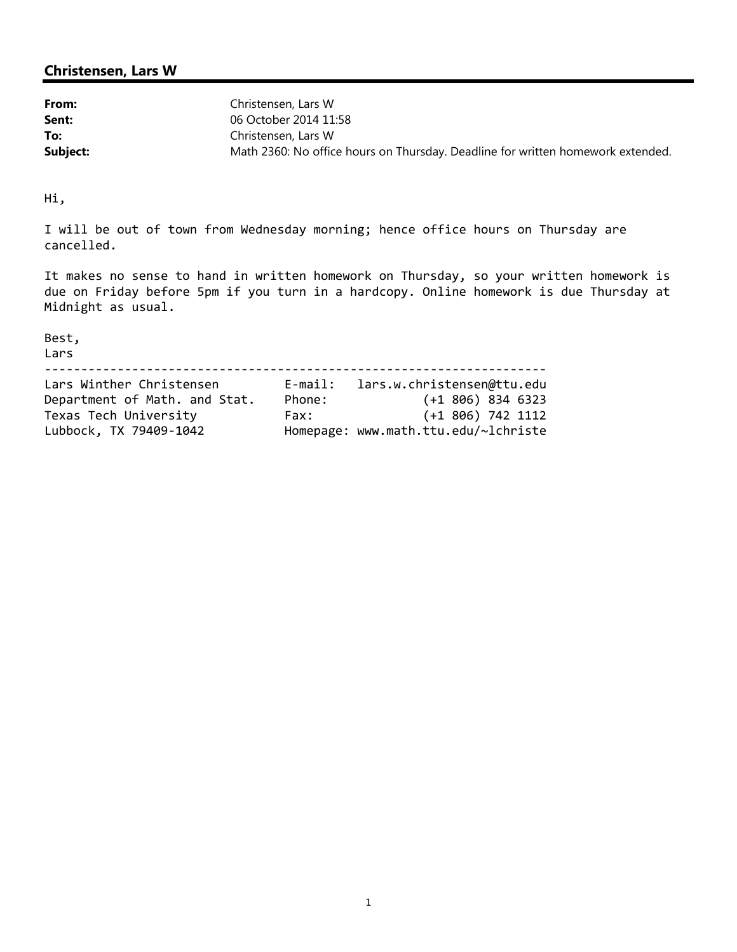| From:    | Christensen, Lars W                                                             |
|----------|---------------------------------------------------------------------------------|
| Sent:    | 06 October 2014 11:58                                                           |
| To:      | Christensen, Lars W                                                             |
| Subject: | Math 2360: No office hours on Thursday. Deadline for written homework extended. |

Hi,

I will be out of town from Wednesday morning; hence office hours on Thursday are cancelled.

It makes no sense to hand in written homework on Thursday, so your written homework is due on Friday before 5pm if you turn in a hardcopy. Online homework is due Thursday at Midnight as usual.

Best,

#### Lars

| Lars Winther Christensen      | $E$ -mail: | lars.w.christensen@ttu.edu           |
|-------------------------------|------------|--------------------------------------|
| Department of Math. and Stat. | Phone:     | $(+1\ 806)\ 834\ 6323$               |
| Texas Tech University         | Fax:       | $(+1\ 806)\ 742\ 1112$               |
| Lubbock, TX 79409-1042        |            | Homepage: www.math.ttu.edu/~lchriste |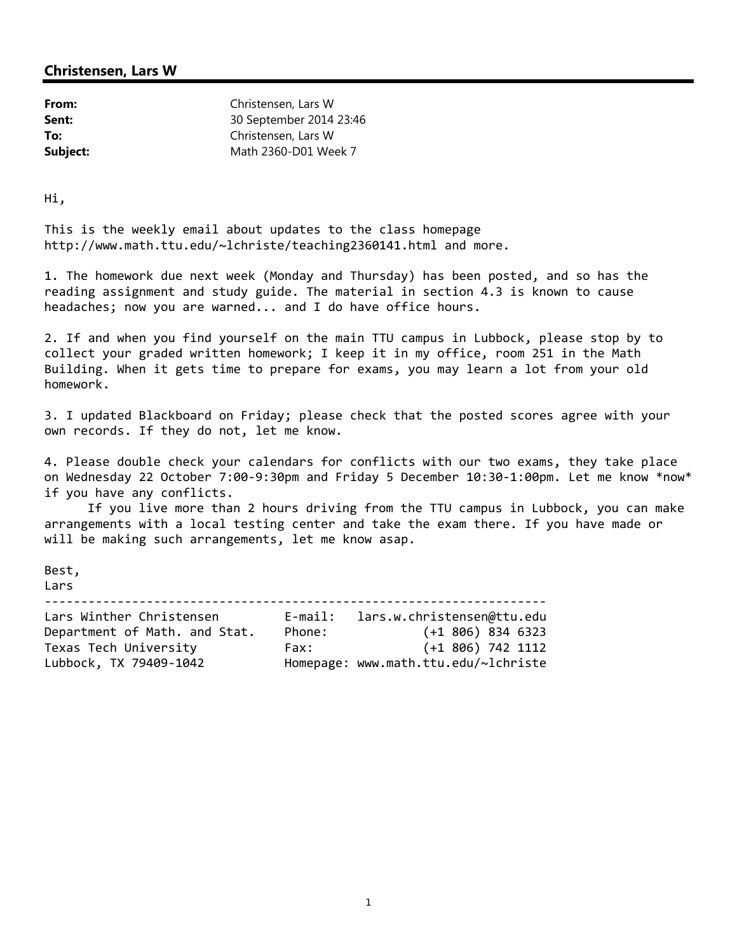| From:    | Christensen, Lars W     |
|----------|-------------------------|
| Sent:    | 30 September 2014 23:46 |
| To:      | Christensen, Lars W     |
| Subject: | Math 2360-D01 Week 7    |

Hi,

This is the weekly email about updates to the class homepage http://www.math.ttu.edu/~lchriste/teaching2360141.html and more.

1. The homework due next week (Monday and Thursday) has been posted, and so has the reading assignment and study guide. The material in section 4.3 is known to cause headaches; now you are warned... and I do have office hours.

2. If and when you find yourself on the main TTU campus in Lubbock, please stop by to collect your graded written homework; I keep it in my office, room 251 in the Math Building. When it gets time to prepare for exams, you may learn a lot from your old homework.

3. I updated Blackboard on Friday; please check that the posted scores agree with your own records. If they do not, let me know.

4. Please double check your calendars for conflicts with our two exams, they take place on Wednesday 22 October 7:00‐9:30pm and Friday 5 December 10:30‐1:00pm. Let me know \*now\* if you have any conflicts.

If you live more than 2 hours driving from the TTU campus in Lubbock, you can make arrangements with a local testing center and take the exam there. If you have made or will be making such arrangements, let me know asap.

Best,

Lars

| Lars Winther Christensen      | $E$ -mail: | lars.w.christensen@ttu.edu           |
|-------------------------------|------------|--------------------------------------|
| Department of Math. and Stat. | Phone:     | $(+1\ 806)\ 834\ 6323$               |
| Texas Tech University         | Fax:       | $(+1\,806)\,742\,1112$               |
| Lubbock, TX 79409-1042        |            | Homepage: www.math.ttu.edu/~lchriste |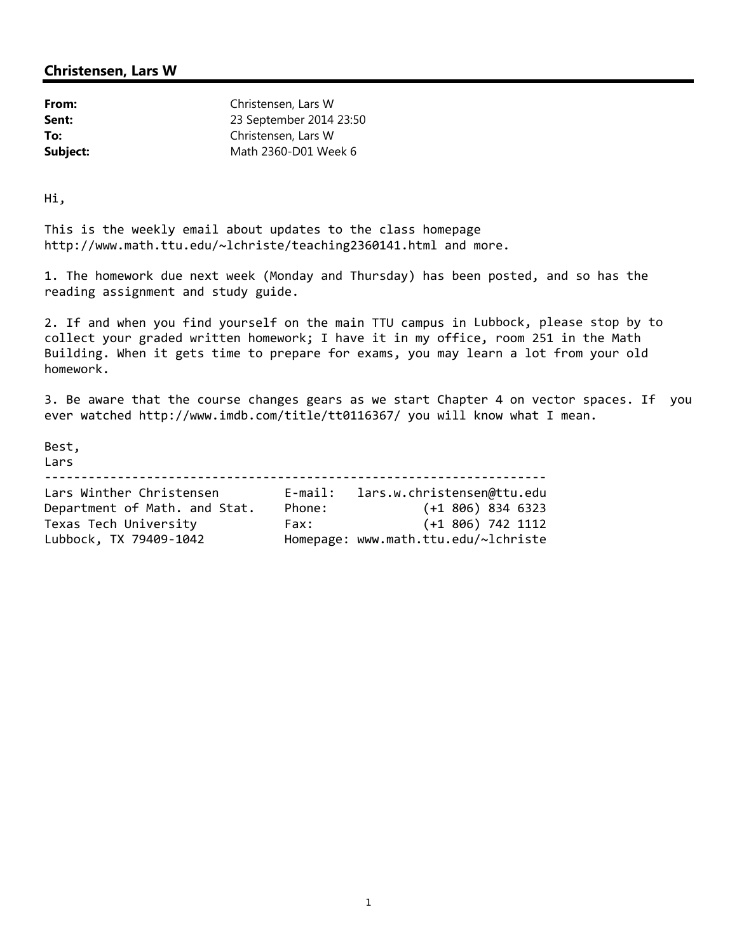| From:    | Christensen, Lars W     |
|----------|-------------------------|
| Sent:    | 23 September 2014 23:50 |
| To:      | Christensen, Lars W     |
| Subject: | Math 2360-D01 Week 6    |

Hi,

This is the weekly email about updates to the class homepage http://www.math.ttu.edu/~lchriste/teaching2360141.html and more.

1. The homework due next week (Monday and Thursday) has been posted, and so has the reading assignment and study guide.

2. If and when you find yourself on the main TTU campus in Lubbock, please stop by to collect your graded written homework; I have it in my office, room 251 in the Math Building. When it gets time to prepare for exams, you may learn a lot from your old homework.

3. Be aware that the course changes gears as we start Chapter 4 on vector spaces. If you ever watched http://www.imdb.com/title/tt0116367/ you will know what I mean.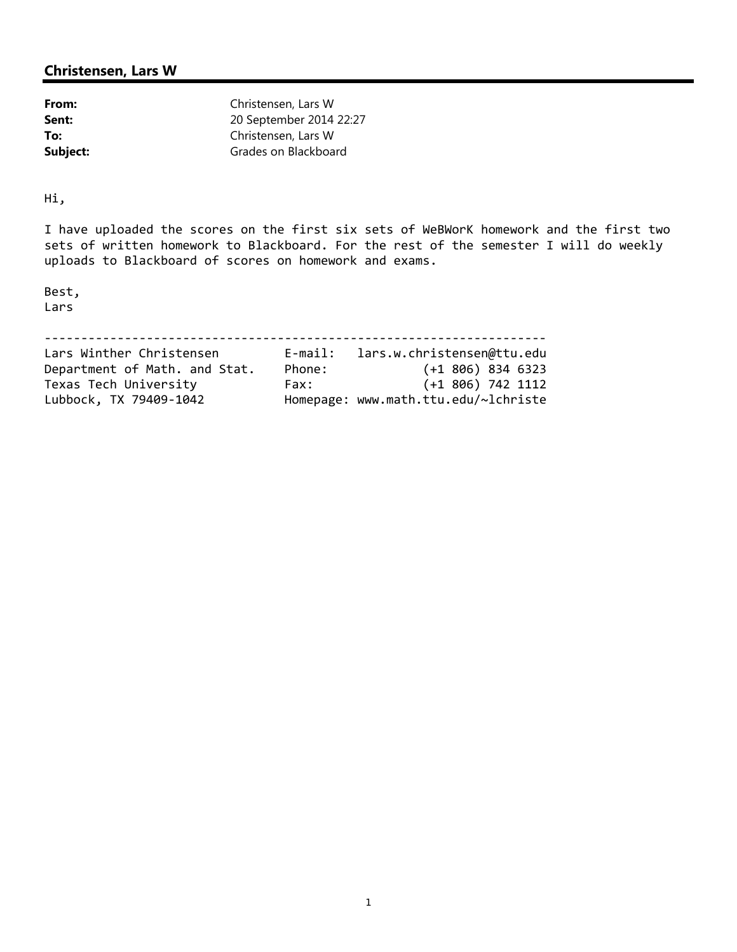| From:    | Christensen, Lars W     |
|----------|-------------------------|
| Sent:    | 20 September 2014 22:27 |
| To:      | Christensen, Lars W     |
| Subject: | Grades on Blackboard    |

Hi,

I have uploaded the scores on the first six sets of WeBWorK homework and the first two sets of written homework to Blackboard. For the rest of the semester I will do weekly uploads to Blackboard of scores on homework and exams.

Best, Lars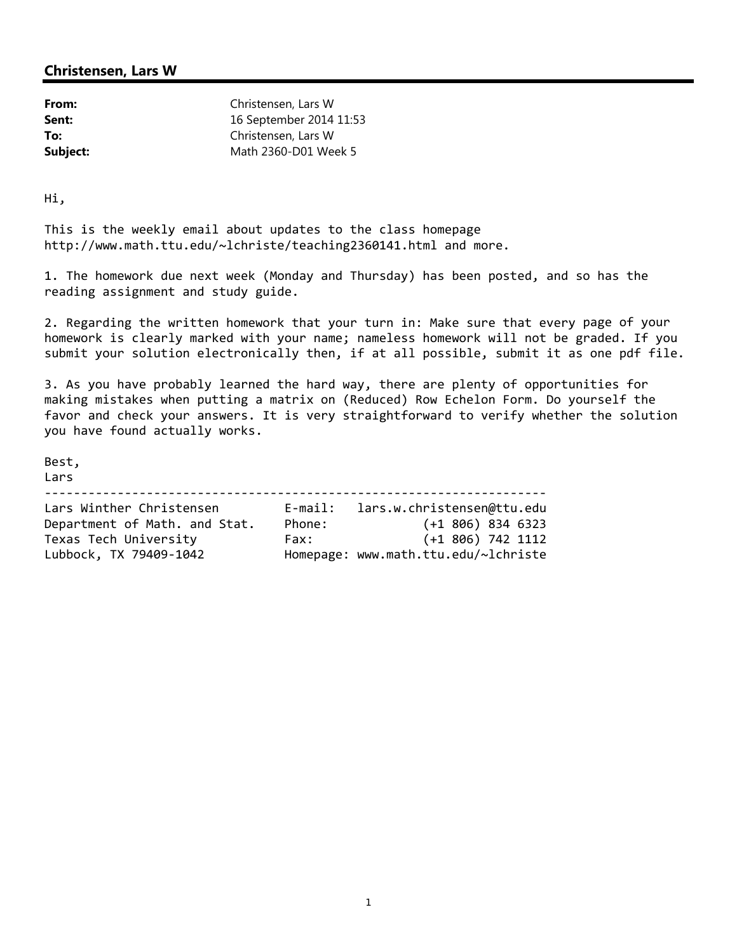| From:    | Christensen, Lars W     |
|----------|-------------------------|
| Sent:    | 16 September 2014 11:53 |
| To:      | Christensen, Lars W     |
| Subject: | Math 2360-D01 Week 5    |

Hi,

This is the weekly email about updates to the class homepage http://www.math.ttu.edu/~lchriste/teaching2360141.html and more.

1. The homework due next week (Monday and Thursday) has been posted, and so has the reading assignment and study guide.

2. Regarding the written homework that your turn in: Make sure that every page of your homework is clearly marked with your name; nameless homework will not be graded. If you submit your solution electronically then, if at all possible, submit it as one pdf file.

3. As you have probably learned the hard way, there are plenty of opportunities for making mistakes when putting a matrix on (Reduced) Row Echelon Form. Do yourself the favor and check your answers. It is very straightforward to verify whether the solution you have found actually works.

Best,

Lars

|  | Lars Winther Christensen | E-mail: lars.w.christensen@ttu.edu |  |  |  |  |
|--|--------------------------|------------------------------------|--|--|--|--|

| Department of Math. and Stat. | Phone:                               | $(+1\,806)\,834\,6323$ |  |
|-------------------------------|--------------------------------------|------------------------|--|
| Texas Tech University         | Fax:                                 | (+1 806) 742 1112      |  |
| Lubbock, TX 79409-1042        | Homepage: www.math.ttu.edu/~lchriste |                        |  |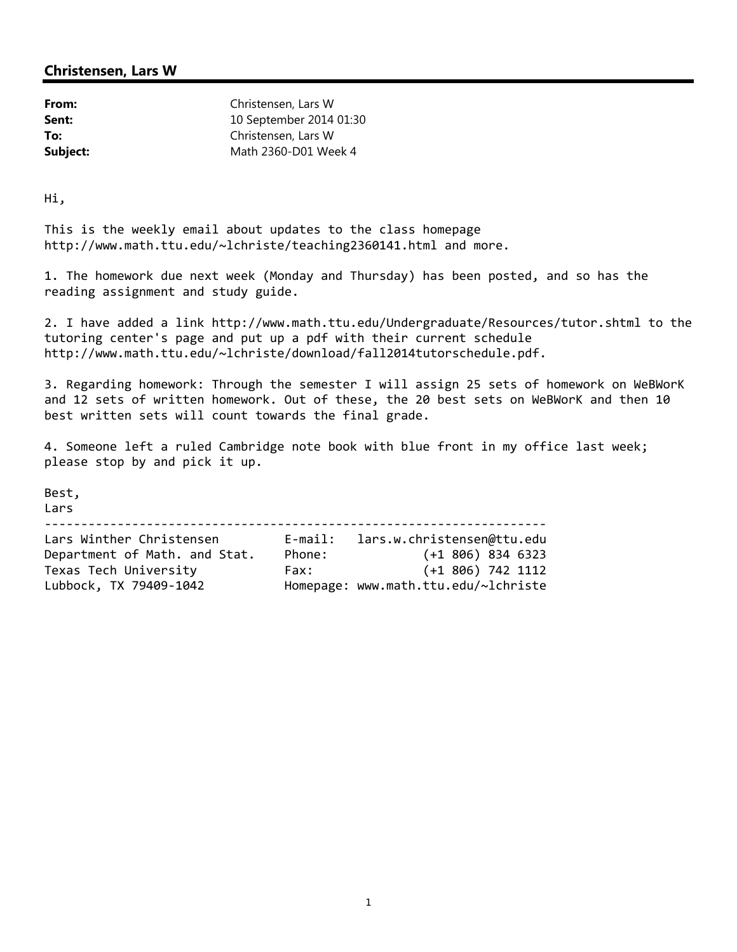| From:    | Christensen, Lars W     |
|----------|-------------------------|
| Sent:    | 10 September 2014 01:30 |
| To:      | Christensen, Lars W     |
| Subject: | Math 2360-D01 Week 4    |

Hi,

This is the weekly email about updates to the class homepage http://www.math.ttu.edu/~lchriste/teaching2360141.html and more.

1. The homework due next week (Monday and Thursday) has been posted, and so has the reading assignment and study guide.

2. I have added a link http://www.math.ttu.edu/Undergraduate/Resources/tutor.shtml to the tutoring center's page and put up a pdf with their current schedule http://www.math.ttu.edu/~lchriste/download/fall2014tutorschedule.pdf.

3. Regarding homework: Through the semester I will assign 25 sets of homework on WeBWorK and 12 sets of written homework. Out of these, the 20 best sets on WeBWorK and then 10 best written sets will count towards the final grade.

4. Someone left a ruled Cambridge note book with blue front in my office last week; please stop by and pick it up.

Best,

Lars

‐‐‐‐‐‐‐‐‐‐‐‐‐‐‐‐‐‐‐‐‐‐‐‐‐‐‐‐‐‐‐‐‐‐‐‐‐‐‐‐‐‐‐‐‐‐‐‐‐‐‐‐‐‐‐‐‐‐‐‐‐‐‐‐‐‐‐‐‐ Lars Winther Christensen E‐mail: lars.w.christensen@ttu.edu Department of Math. and Stat. Phone: (+1 806) 834 6323

Texas Tech University Fax: (+1 806) 742 1112 Lubbock, TX 79409‐1042 Homepage: www.math.ttu.edu/~lchriste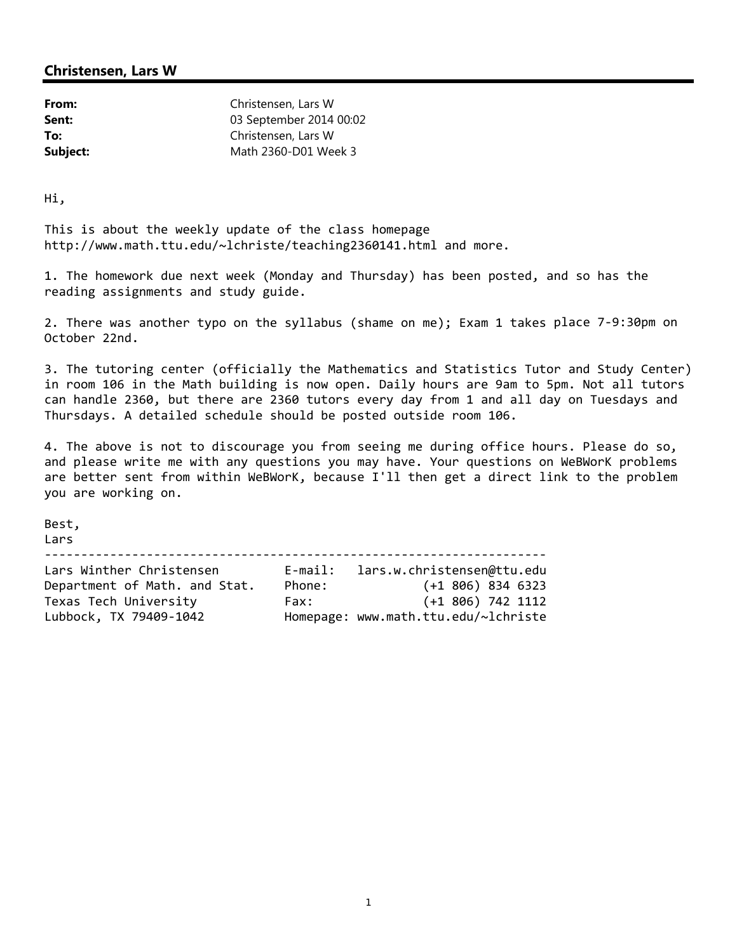| From:    | Christensen, Lars W     |
|----------|-------------------------|
| Sent:    | 03 September 2014 00:02 |
| To:      | Christensen, Lars W     |
| Subject: | Math 2360-D01 Week 3    |

Hi,

This is about the weekly update of the class homepage http://www.math.ttu.edu/~lchriste/teaching2360141.html and more.

1. The homework due next week (Monday and Thursday) has been posted, and so has the reading assignments and study guide.

2. There was another typo on the syllabus (shame on me); Exam 1 takes place 7‐9:30pm on October 22nd.

3. The tutoring center (officially the Mathematics and Statistics Tutor and Study Center) in room 106 in the Math building is now open. Daily hours are 9am to 5pm. Not all tutors can handle 2360, but there are 2360 tutors every day from 1 and all day on Tuesdays and Thursdays. A detailed schedule should be posted outside room 106.

4. The above is not to discourage you from seeing me during office hours. Please do so, and please write me with any questions you may have. Your questions on WeBWorK problems are better sent from within WeBWorK, because I'll then get a direct link to the problem you are working on.

Best,

Lars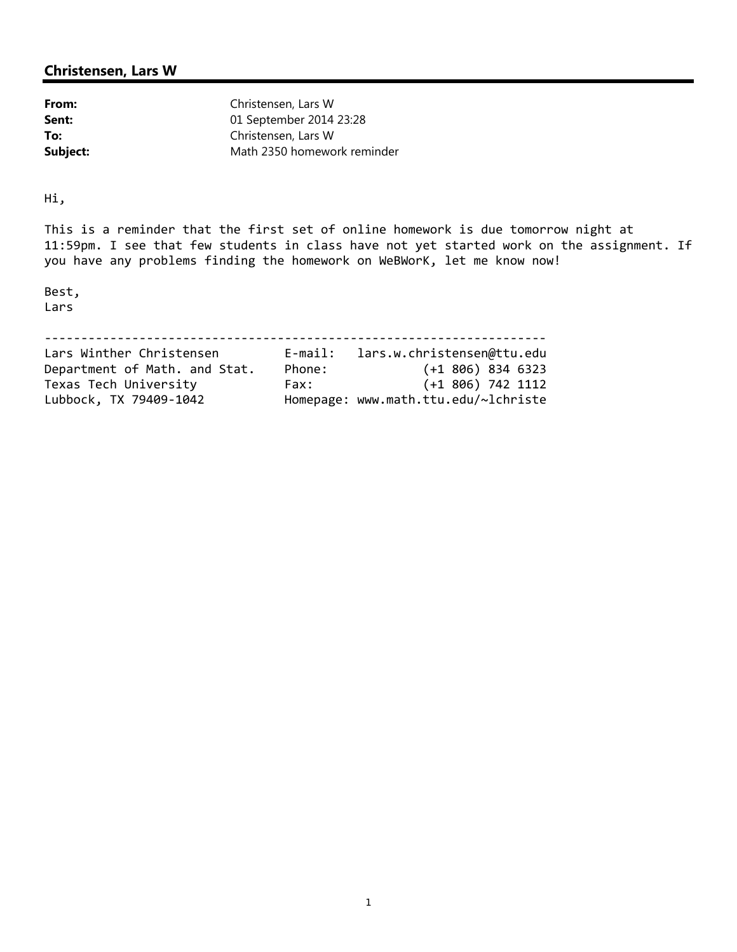| From:    | Christensen, Lars W         |
|----------|-----------------------------|
| Sent:    | 01 September 2014 23:28     |
| To:      | Christensen, Lars W         |
| Subject: | Math 2350 homework reminder |

Hi,

This is a reminder that the first set of online homework is due tomorrow night at 11:59pm. I see that few students in class have not yet started work on the assignment. If you have any problems finding the homework on WeBWorK, let me know now!

Best, Lars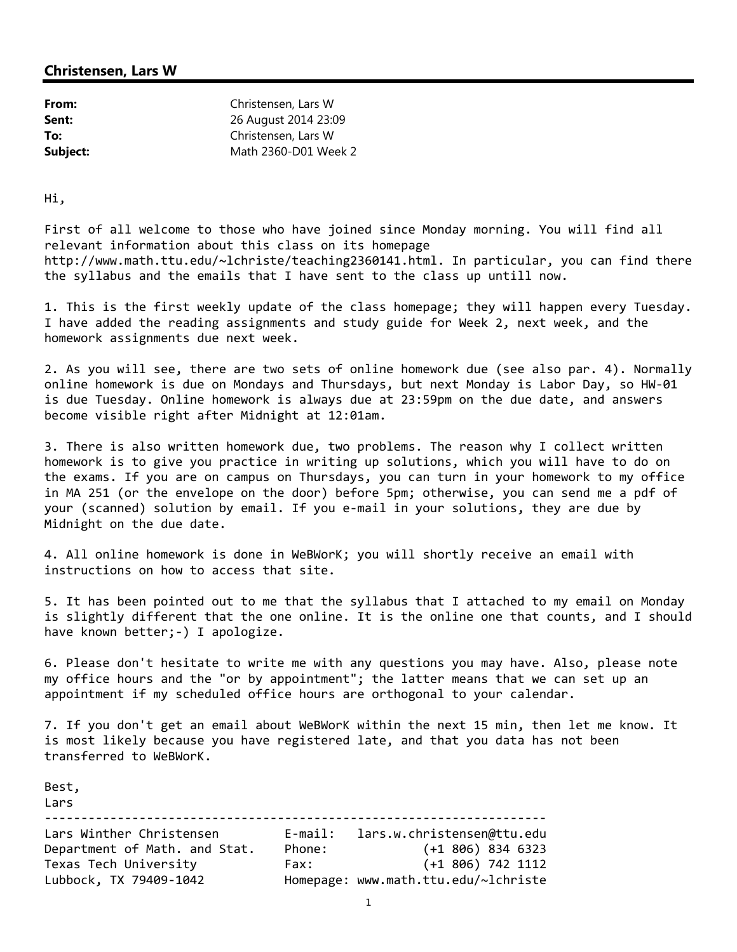| From:    | Christensen, Lars W  |
|----------|----------------------|
| Sent:    | 26 August 2014 23:09 |
| To:      | Christensen, Lars W  |
| Subject: | Math 2360-D01 Week 2 |

Hi,

First of all welcome to those who have joined since Monday morning. You will find all relevant information about this class on its homepage http://www.math.ttu.edu/~lchriste/teaching2360141.html. In particular, you can find there the syllabus and the emails that I have sent to the class up untill now.

1. This is the first weekly update of the class homepage; they will happen every Tuesday. I have added the reading assignments and study guide for Week 2, next week, and the homework assignments due next week.

2. As you will see, there are two sets of online homework due (see also par. 4). Normally online homework is due on Mondays and Thursdays, but next Monday is Labor Day, so HW‐01 is due Tuesday. Online homework is always due at 23:59pm on the due date, and answers become visible right after Midnight at 12:01am.

3. There is also written homework due, two problems. The reason why I collect written homework is to give you practice in writing up solutions, which you will have to do on the exams. If you are on campus on Thursdays, you can turn in your homework to my office in MA 251 (or the envelope on the door) before 5pm; otherwise, you can send me a pdf of your (scanned) solution by email. If you e‐mail in your solutions, they are due by Midnight on the due date.

4. All online homework is done in WeBWorK; you will shortly receive an email with instructions on how to access that site.

5. It has been pointed out to me that the syllabus that I attached to my email on Monday is slightly different that the one online. It is the online one that counts, and I should have known better; -) I apologize.

6. Please don't hesitate to write me with any questions you may have. Also, please note my office hours and the "or by appointment"; the latter means that we can set up an appointment if my scheduled office hours are orthogonal to your calendar.

7. If you don't get an email about WeBWorK within the next 15 min, then let me know. It is most likely because you have registered late, and that you data has not been transferred to WeBWorK.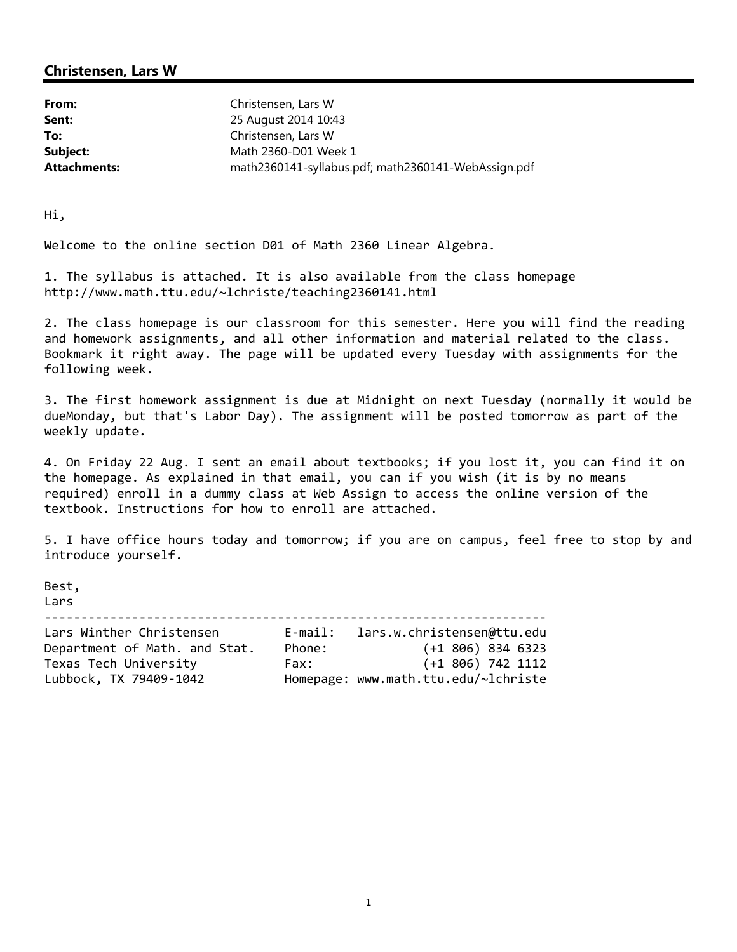| From:               | Christensen, Lars W                                 |
|---------------------|-----------------------------------------------------|
| Sent:               | 25 August 2014 10:43                                |
| To:                 | Christensen, Lars W                                 |
| Subject:            | Math 2360-D01 Week 1                                |
| <b>Attachments:</b> | math2360141-syllabus.pdf; math2360141-WebAssign.pdf |

Hi,

Welcome to the online section D01 of Math 2360 Linear Algebra.

1. The syllabus is attached. It is also available from the class homepage http://www.math.ttu.edu/~lchriste/teaching2360141.html

2. The class homepage is our classroom for this semester. Here you will find the reading and homework assignments, and all other information and material related to the class. Bookmark it right away. The page will be updated every Tuesday with assignments for the following week.

3. The first homework assignment is due at Midnight on next Tuesday (normally it would be dueMonday, but that's Labor Day). The assignment will be posted tomorrow as part of the weekly update.

4. On Friday 22 Aug. I sent an email about textbooks; if you lost it, you can find it on the homepage. As explained in that email, you can if you wish (it is by no means required) enroll in a dummy class at Web Assign to access the online version of the textbook. Instructions for how to enroll are attached.

5. I have office hours today and tomorrow; if you are on campus, feel free to stop by and introduce yourself.

Best,

Lars ‐‐‐‐‐‐‐‐‐‐‐‐‐‐‐‐‐‐‐‐‐‐‐‐‐‐‐‐‐‐‐‐‐‐‐‐‐‐‐‐‐‐‐‐‐‐‐‐‐‐‐‐‐‐‐‐‐‐‐‐‐‐‐‐‐‐‐‐‐ Lars Winther Christensen E‐mail: lars.w.christensen@ttu.edu Department of Math. and Stat. Phone: (+1 806) 834 6323

Texas Tech University Fax: (+1 806) 742 1112 Lubbock, TX 79409‐1042 Homepage: www.math.ttu.edu/~lchriste